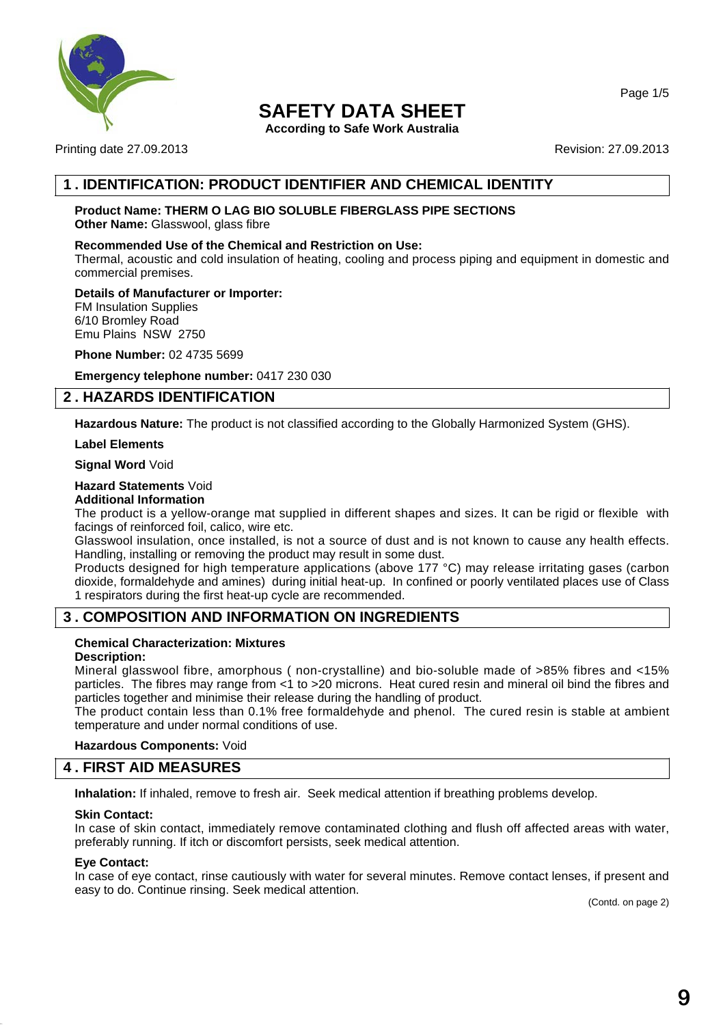

**According to Safe Work Australia**

Printing date 27.09.2013 **Revision: 27.09.2013** Revision: 27.09.2013

# **1 . IDENTIFICATION: PRODUCT IDENTIFIER AND CHEMICAL IDENTITY**

#### **Product Name: THERM O LAG BIO SOLUBLE FIBERGLASS PIPE SECTIONS Other Name:** Glasswool, glass fibre

#### **Recommended Use of the Chemical and Restriction on Use:**

Thermal, acoustic and cold insulation of heating, cooling and process piping and equipment in domestic and commercial premises.

#### **Details of Manufacturer or Importer:**

FM Insulation Supplies 6/10 Bromley Road Emu Plains NSW 2750

**Phone Number:** 02 4735 5699

**Emergency telephone number:** 0417 230 030

# **2 . HAZARDS IDENTIFICATION**

**Hazardous Nature:** The product is not classified according to the Globally Harmonized System (GHS).

#### **Label Elements**

**Signal Word** Void

#### **Hazard Statements** Void

## **Additional Information**

The product is a yellow-orange mat supplied in different shapes and sizes. It can be rigid or flexible with facings of reinforced foil, calico, wire etc.

Glasswool insulation, once installed, is not a source of dust and is not known to cause any health effects. Handling, installing or removing the product may result in some dust.

Products designed for high temperature applications (above 177 °C) may release irritating gases (carbon dioxide, formaldehyde and amines) during initial heat-up. In confined or poorly ventilated places use of Class 1 respirators during the first heat-up cycle are recommended.

# **3 . COMPOSITION AND INFORMATION ON INGREDIENTS**

#### **Chemical Characterization: Mixtures**

#### **Description:**

Mineral glasswool fibre, amorphous ( non-crystalline) and bio-soluble made of >85% fibres and <15% particles. The fibres may range from <1 to >20 microns. Heat cured resin and mineral oil bind the fibres and particles together and minimise their release during the handling of product.

The product contain less than 0.1% free formaldehyde and phenol. The cured resin is stable at ambient temperature and under normal conditions of use.

#### **Hazardous Components:** Void

## **4 . FIRST AID MEASURES**

**Inhalation:** If inhaled, remove to fresh air. Seek medical attention if breathing problems develop.

#### **Skin Contact:**

In case of skin contact, immediately remove contaminated clothing and flush off affected areas with water, preferably running. If itch or discomfort persists, seek medical attention.

#### **Eye Contact:**

In case of eye contact, rinse cautiously with water for several minutes. Remove contact lenses, if present and easy to do. Continue rinsing. Seek medical attention.

(Contd. on page 2)

Page 1/5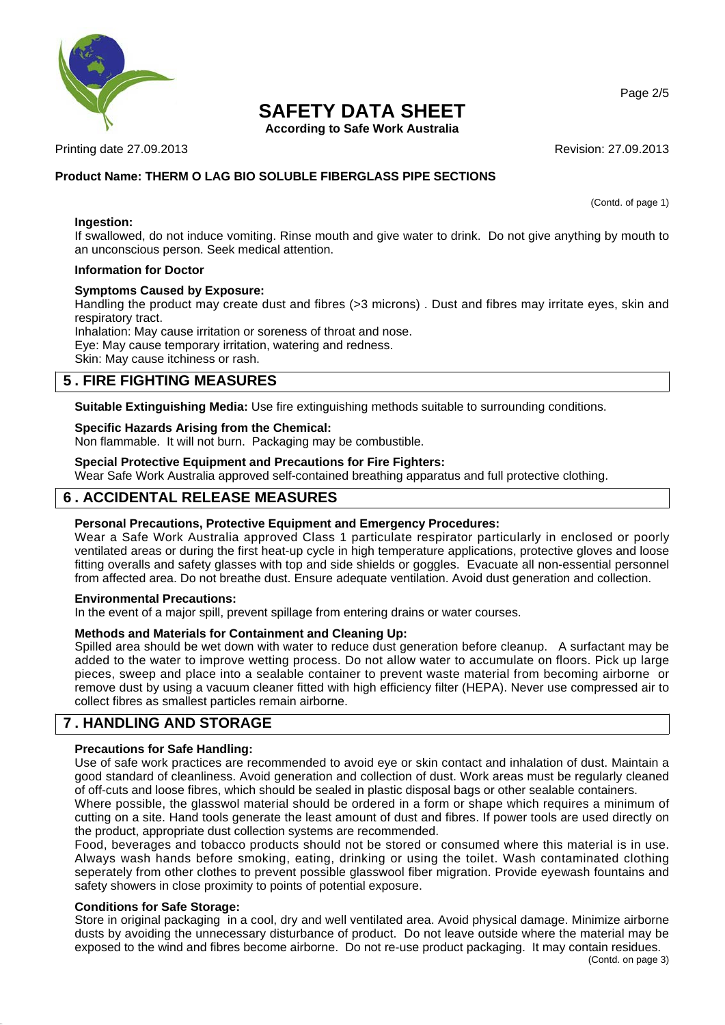

**According to Safe Work Australia**

Printing date 27.09.2013 **Revision: 27.09.2013** Revision: 27.09.2013

#### **Product Name: THERM O LAG BIO SOLUBLE FIBERGLASS PIPE SECTIONS**

(Contd. of page 1)

**Ingestion:** If swallowed, do not induce vomiting. Rinse mouth and give water to drink. Do not give anything by mouth to an unconscious person. Seek medical attention.

#### **Information for Doctor**

#### **Symptoms Caused by Exposure:**

Handling the product may create dust and fibres (>3 microns). Dust and fibres may irritate eyes, skin and respiratory tract.

Inhalation: May cause irritation or soreness of throat and nose. Eye: May cause temporary irritation, watering and redness. Skin: May cause itchiness or rash.

# **5 . FIRE FIGHTING MEASURES**

**Suitable Extinguishing Media:** Use fire extinguishing methods suitable to surrounding conditions.

#### **Specific Hazards Arising from the Chemical:**

Non flammable. It will not burn. Packaging may be combustible.

#### **Special Protective Equipment and Precautions for Fire Fighters:**

Wear Safe Work Australia approved self-contained breathing apparatus and full protective clothing.

## **6 . ACCIDENTAL RELEASE MEASURES**

#### **Personal Precautions, Protective Equipment and Emergency Procedures:**

Wear a Safe Work Australia approved Class 1 particulate respirator particularly in enclosed or poorly ventilated areas or during the first heat-up cycle in high temperature applications, protective gloves and loose fitting overalls and safety glasses with top and side shields or goggles. Evacuate all non-essential personnel from affected area. Do not breathe dust. Ensure adequate ventilation. Avoid dust generation and collection.

#### **Environmental Precautions:**

In the event of a major spill, prevent spillage from entering drains or water courses.

#### **Methods and Materials for Containment and Cleaning Up:**

Spilled area should be wet down with water to reduce dust generation before cleanup. A surfactant may be added to the water to improve wetting process. Do not allow water to accumulate on floors. Pick up large pieces, sweep and place into a sealable container to prevent waste material from becoming airborne or remove dust by using a vacuum cleaner fitted with high efficiency filter (HEPA). Never use compressed air to collect fibres as smallest particles remain airborne.

# **7 . HANDLING AND STORAGE**

#### **Precautions for Safe Handling:**

Use of safe work practices are recommended to avoid eye or skin contact and inhalation of dust. Maintain a good standard of cleanliness. Avoid generation and collection of dust. Work areas must be regularly cleaned of off-cuts and loose fibres, which should be sealed in plastic disposal bags or other sealable containers.

Where possible, the glasswol material should be ordered in a form or shape which requires a minimum of cutting on a site. Hand tools generate the least amount of dust and fibres. If power tools are used directly on the product, appropriate dust collection systems are recommended.

Food, beverages and tobacco products should not be stored or consumed where this material is in use. Always wash hands before smoking, eating, drinking or using the toilet. Wash contaminated clothing seperately from other clothes to prevent possible glasswool fiber migration. Provide eyewash fountains and safety showers in close proximity to points of potential exposure.

#### **Conditions for Safe Storage:**

Store in original packaging in a cool, dry and well ventilated area. Avoid physical damage. Minimize airborne dusts by avoiding the unnecessary disturbance of product. Do not leave outside where the material may be exposed to the wind and fibres become airborne. Do not re-use product packaging. It may contain residues.

Page 2/5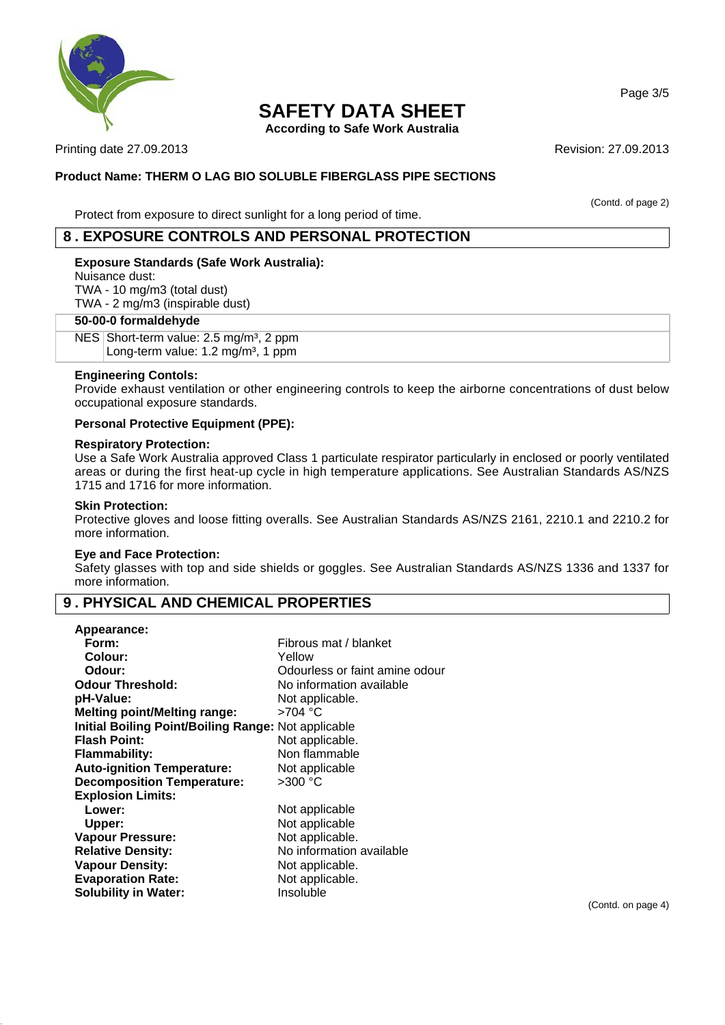

**According to Safe Work Australia**

Printing date 27.09.2013 **Revision: 27.09.2013** Revision: 27.09.2013

#### **Product Name: THERM O LAG BIO SOLUBLE FIBERGLASS PIPE SECTIONS**

(Contd. of page 2)

#### Protect from exposure to direct sunlight for a long period of time.

# **8 . EXPOSURE CONTROLS AND PERSONAL PROTECTION**

#### **Exposure Standards (Safe Work Australia):**

Nuisance dust:

TWA - 10 mg/m3 (total dust) TWA - 2 mg/m3 (inspirable dust)

#### **50-00-0 formaldehyde**

NES Short-term value:  $2.5 \text{ mg/m}^3$ , 2 ppm Long-term value: 1.2 mg/m<sup>3</sup>, 1 ppm

#### **Engineering Contols:**

Provide exhaust ventilation or other engineering controls to keep the airborne concentrations of dust below occupational exposure standards.

#### **Personal Protective Equipment (PPE):**

### **Respiratory Protection:**

Use a Safe Work Australia approved Class 1 particulate respirator particularly in enclosed or poorly ventilated areas or during the first heat-up cycle in high temperature applications. See Australian Standards AS/NZS 1715 and 1716 for more information.

#### **Skin Protection:**

Protective gloves and loose fitting overalls. See Australian Standards AS/NZS 2161, 2210.1 and 2210.2 for more information.

#### **Eye and Face Protection:**

Safety glasses with top and side shields or goggles. See Australian Standards AS/NZS 1336 and 1337 for more information.

### **9 . PHYSICAL AND CHEMICAL PROPERTIES**

| Fibrous mat / blanket                               |
|-----------------------------------------------------|
| Yellow                                              |
| Odourless or faint amine odour                      |
| No information available                            |
| Not applicable.                                     |
| $>704$ °C                                           |
| Initial Boiling Point/Boiling Range: Not applicable |
| Not applicable.                                     |
| Non flammable                                       |
| Not applicable                                      |
| $>300$ °C                                           |
|                                                     |
| Not applicable                                      |
| Not applicable                                      |
| Not applicable.                                     |
| No information available                            |
| Not applicable.                                     |
| Not applicable.                                     |
| Insoluble                                           |
|                                                     |

(Contd. on page 4)

Page 3/5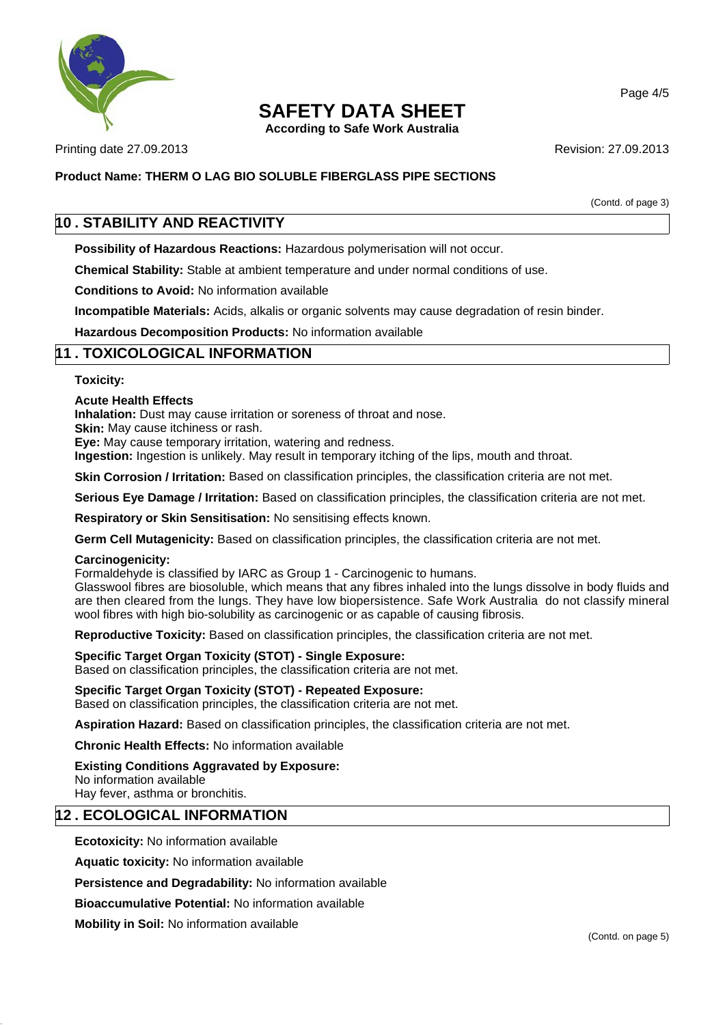

**According to Safe Work Australia**

Printing date 27.09.2013 **Revision: 27.09.2013** Revision: 27.09.2013

#### **Product Name: THERM O LAG BIO SOLUBLE FIBERGLASS PIPE SECTIONS**

(Contd. of page 3)

# **10 . STABILITY AND REACTIVITY**

**Possibility of Hazardous Reactions:** Hazardous polymerisation will not occur.

**Chemical Stability:** Stable at ambient temperature and under normal conditions of use.

**Conditions to Avoid:** No information available

**Incompatible Materials:** Acids, alkalis or organic solvents may cause degradation of resin binder.

**Hazardous Decomposition Products:** No information available

### **11 . TOXICOLOGICAL INFORMATION**

#### **Toxicity:**

#### **Acute Health Effects**

**Inhalation:** Dust may cause irritation or soreness of throat and nose.

**Skin:** May cause itchiness or rash.

**Eye:** May cause temporary irritation, watering and redness.

**Ingestion:** Ingestion is unlikely. May result in temporary itching of the lips, mouth and throat.

**Skin Corrosion / Irritation:** Based on classification principles, the classification criteria are not met.

**Serious Eye Damage / Irritation:** Based on classification principles, the classification criteria are not met.

**Respiratory or Skin Sensitisation:** No sensitising effects known.

**Germ Cell Mutagenicity:** Based on classification principles, the classification criteria are not met.

#### **Carcinogenicity:**

Formaldehyde is classified by IARC as Group 1 - Carcinogenic to humans.

Glasswool fibres are biosoluble, which means that any fibres inhaled into the lungs dissolve in body fluids and are then cleared from the lungs. They have low biopersistence. Safe Work Australia do not classify mineral wool fibres with high bio-solubility as carcinogenic or as capable of causing fibrosis.

**Reproductive Toxicity:** Based on classification principles, the classification criteria are not met.

# **Specific Target Organ Toxicity (STOT) - Single Exposure:**

Based on classification principles, the classification criteria are not met.

#### **Specific Target Organ Toxicity (STOT) - Repeated Exposure:**

Based on classification principles, the classification criteria are not met.

**Aspiration Hazard:** Based on classification principles, the classification criteria are not met.

#### **Chronic Health Effects:** No information available

#### **Existing Conditions Aggravated by Exposure:**

No information available Hay fever, asthma or bronchitis.

### **12 . ECOLOGICAL INFORMATION**

**Ecotoxicity:** No information available

**Aquatic toxicity:** No information available

**Persistence and Degradability:** No information available

**Bioaccumulative Potential:** No information available

**Mobility in Soil:** No information available

Page 4/5